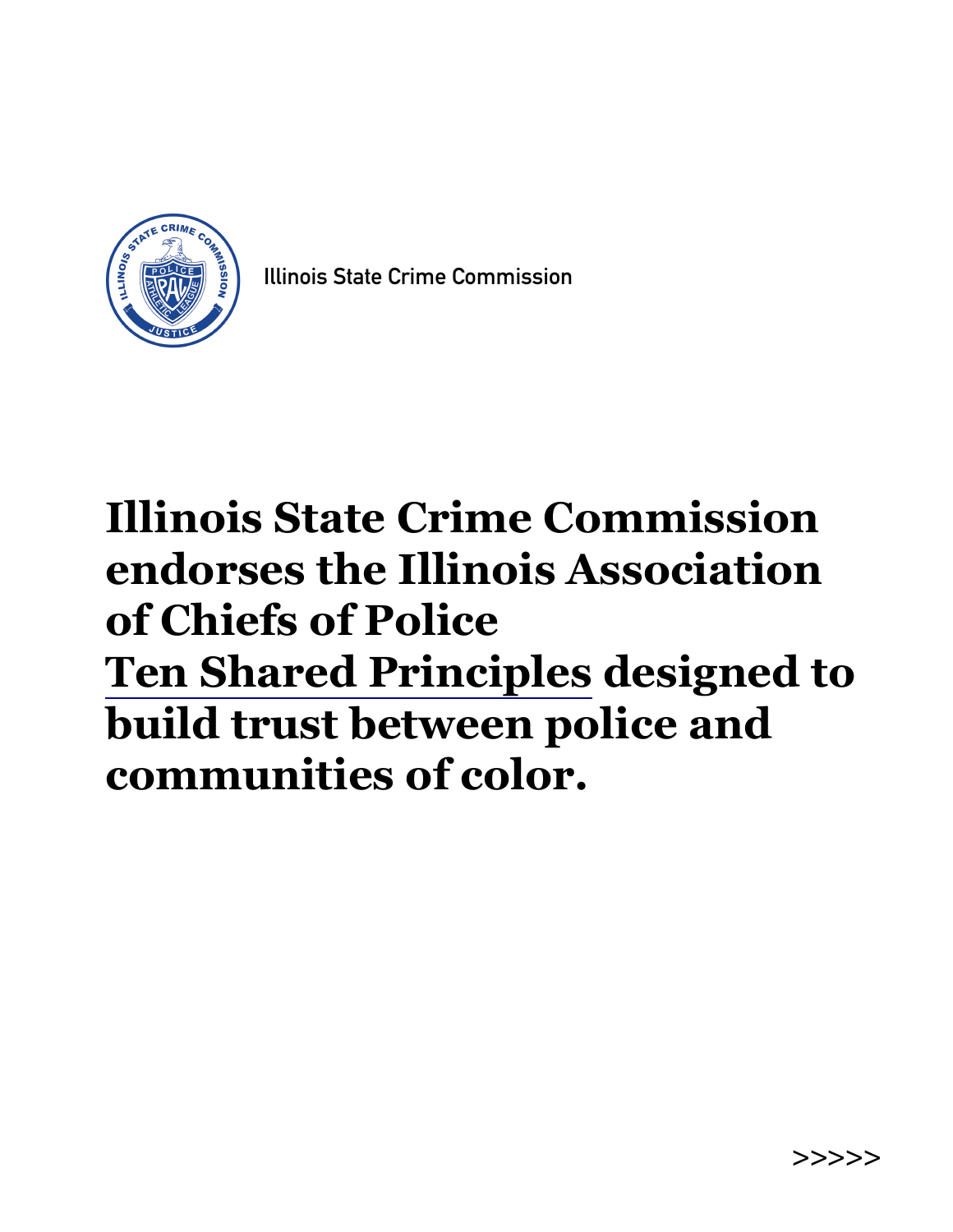

**Illinois State Crime Commission** 

# **Illinois State Crime Commission endorses the Illinois Association of Chiefs of Police [Ten Shared Principles](https://www.ilchiefs.org/shared-principles) designed to build trust between police and communities of color.**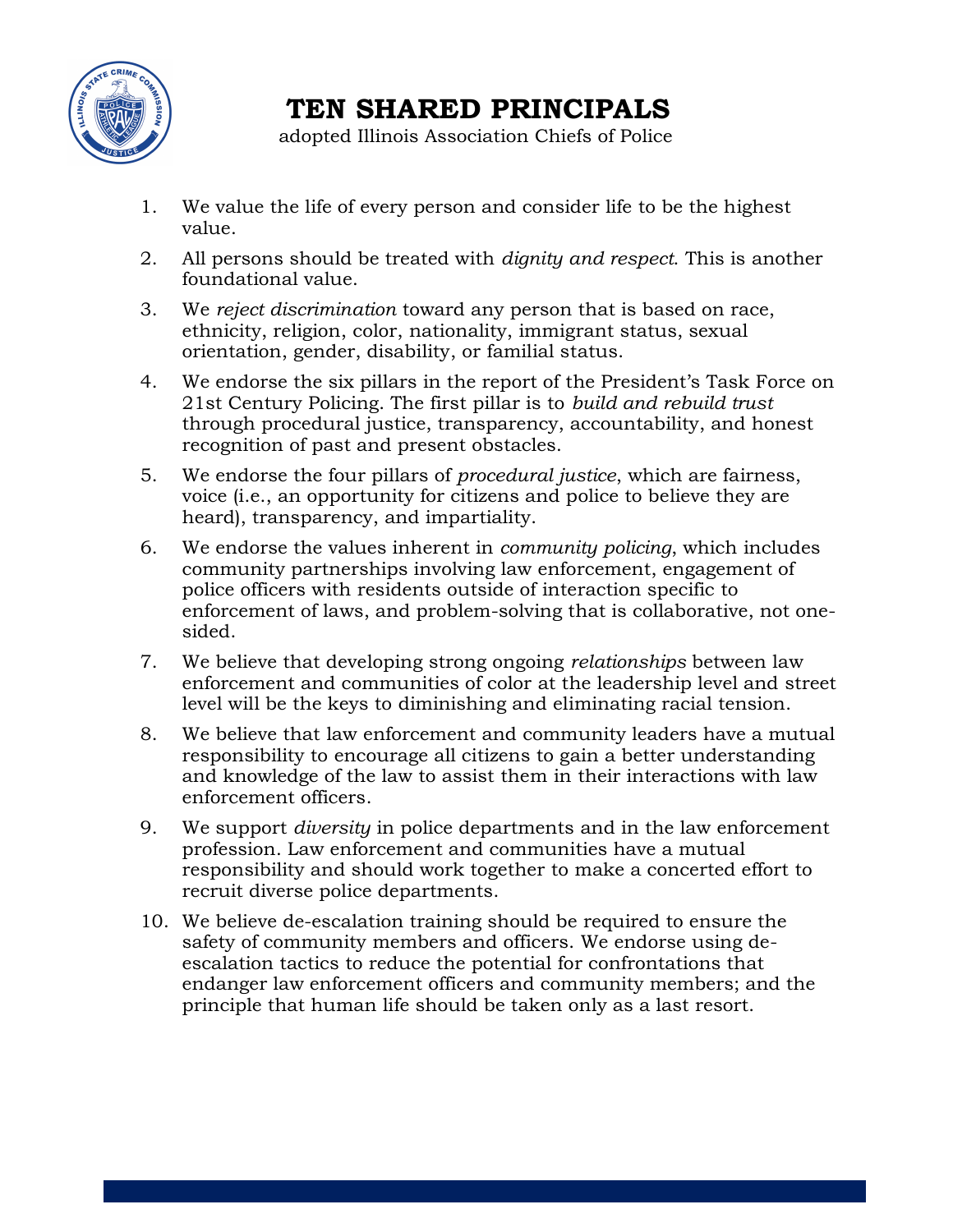

### **TEN SHARED PRINCIPALS**

adopted Illinois Association Chiefs of Police

- 1. We value the life of every person and consider life to be the highest value.
- 2. All persons should be treated with *dignity and respect*. This is another foundational value.
- 3. We *reject discrimination* toward any person that is based on race, ethnicity, religion, color, nationality, immigrant status, sexual orientation, gender, disability, or familial status.
- 4. We endorse the six pillars in the report of the President's Task Force on 21st Century Policing. The first pillar is to *build and rebuild trust* through procedural justice, transparency, accountability, and honest recognition of past and present obstacles.
- 5. We endorse the four pillars of *procedural justice*, which are fairness, voice (i.e., an opportunity for citizens and police to believe they are heard), transparency, and impartiality.
- 6. We endorse the values inherent in *community policing*, which includes community partnerships involving law enforcement, engagement of police officers with residents outside of interaction specific to enforcement of laws, and problem-solving that is collaborative, not onesided.
- 7. We believe that developing strong ongoing *relationships* between law enforcement and communities of color at the leadership level and street level will be the keys to diminishing and eliminating racial tension.
- 8. We believe that law enforcement and community leaders have a mutual responsibility to encourage all citizens to gain a better understanding and knowledge of the law to assist them in their interactions with law enforcement officers.
- 9. We support *diversity* in police departments and in the law enforcement profession. Law enforcement and communities have a mutual responsibility and should work together to make a concerted effort to recruit diverse police departments.
- 10. We believe de-escalation training should be required to ensure the safety of community members and officers. We endorse using deescalation tactics to reduce the potential for confrontations that endanger law enforcement officers and community members; and the principle that human life should be taken only as a last resort.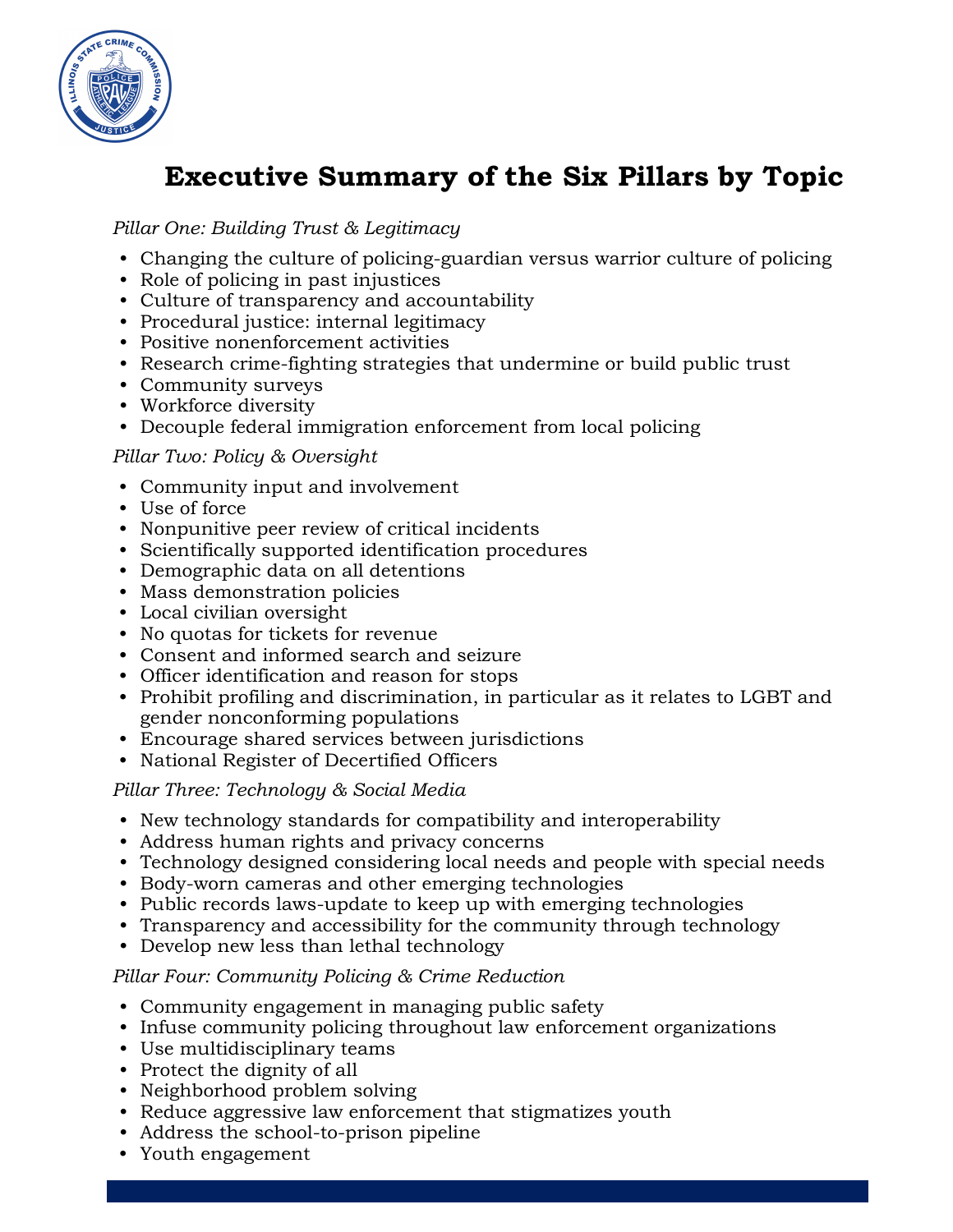

## **Executive Summary of the Six Pillars by Topic**

#### *Pillar One: Building Trust & Legitimacy*

- Changing the culture of policing-guardian versus warrior culture of policing
- Role of policing in past injustices
- Culture of transparency and accountability
- Procedural justice: internal legitimacy
- Positive nonenforcement activities
- Research crime-fighting strategies that undermine or build public trust
- Community surveys
- Workforce diversity
- Decouple federal immigration enforcement from local policing

#### *Pillar Two: Policy & Oversight*

- Community input and involvement
- Use of force
- Nonpunitive peer review of critical incidents
- Scientifically supported identification procedures
- Demographic data on all detentions
- Mass demonstration policies
- Local civilian oversight
- No quotas for tickets for revenue
- Consent and informed search and seizure
- Officer identification and reason for stops
- Prohibit profiling and discrimination, in particular as it relates to LGBT and gender nonconforming populations
- Encourage shared services between jurisdictions
- National Register of Decertified Officers

#### *Pillar Three: Technology & Social Media*

- New technology standards for compatibility and interoperability
- Address human rights and privacy concerns
- Technology designed considering local needs and people with special needs
- Body-worn cameras and other emerging technologies
- Public records laws-update to keep up with emerging technologies
- Transparency and accessibility for the community through technology
- Develop new less than lethal technology

#### *Pillar Four: Community Policing & Crime Reduction*

- Community engagement in managing public safety
- Infuse community policing throughout law enforcement organizations
- Use multidisciplinary teams
- Protect the dignity of all
- Neighborhood problem solving
- Reduce aggressive law enforcement that stigmatizes youth
- Address the school-to-prison pipeline
- Youth engagement